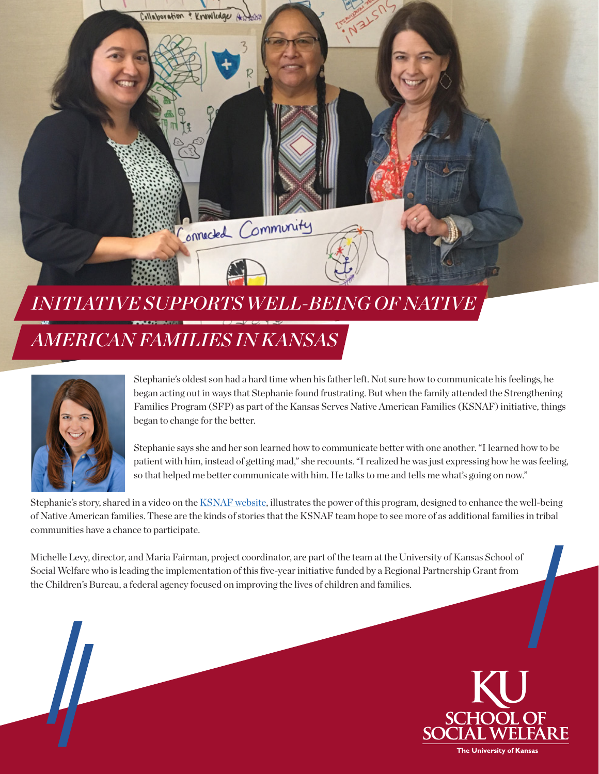

### *INITIATIVE SUPPORTS WELL-BEING OF NATIVE*

## *AMERICAN FAMILIES IN KANSAS*



 $\frac{1}{2}$ 

Stephanie's oldest son had a hard time when his father left. Not sure how to communicate his feelings, he began acting out in ways that Stephanie found frustrating. But when the family attended the Strengthening Families Program (SFP) as part of the Kansas Serves Native American Families (KSNAF) initiative, things began to change for the better.

Stephanie says she and her son learned how to communicate better with one another. "I learned how to be patient with him, instead of getting mad," she recounts. "I realized he was just expressing how he was feeling, so that helped me better communicate with him. He talks to me and tells me what's going on now."

Stephanie's story, shared in a video on the [KSNAF website](http://www.ksnaf.org), illustrates the power of this program, designed to enhance the well-being of Native American families. These are the kinds of stories that the KSNAF team hope to see more of as additional families in tribal communities have a chance to participate.

Michelle Levy, director, and Maria Fairman, project coordinator, are part of the team at the University of Kansas School of Social Welfare who is leading the implementation of this five-year initiative funded by a Regional Partnership Grant from the Children's Bureau, a federal agency focused on improving the lives of children and families.

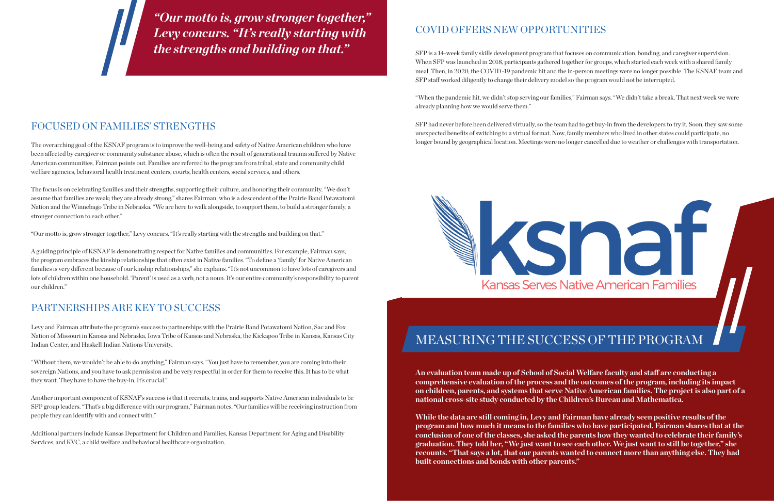#### COVID OFFERS NEW OPPORTUNITIES

SFP is a 14-week family skills development program that focuses on communication, bonding, and caregiver supervision. When SFP was launched in 2018, participants gathered together for groups, which started each week with a shared family meal. Then, in 2020, the COVID-19 pandemic hit and the in-person meetings were no longer possible. The KSNAF team and SFP staff worked diligently to change their delivery model so the program would not be interrupted.

"When the pandemic hit, we didn't stop serving our families," Fairman says. "We didn't take a break. That next week we were already planning how we would serve them."

SFP had never before been delivered virtually, so the team had to get buy-in from the developers to try it. Soon, they saw some unexpected benefits of switching to a virtual format. Now, family members who lived in other states could participate, no longer bound by geographical location. Meetings were no longer cancelled due to weather or challenges with transportation.



**An evaluation team made up of School of Social Welfare faculty and staff are conducting a comprehensive evaluation of the process and the outcomes of the program, including its impact on children, parents, and systems that serve Native American families. The project is also part of a national cross-site study conducted by the Children's Bureau and Mathematica.** 

**While the data are still coming in, Levy and Fairman have already seen positive results of the program and how much it means to the families who have participated. Fairman shares that at the conclusion of one of the classes, she asked the parents how they wanted to celebrate their family's graduation. They told her, "We just want to see each other. We just want to still be together," she recounts. "That says a lot, that our parents wanted to connect more than anything else. They had built connections and bonds with other parents."** 

#### FOCUSED ON FAMILIES' STRENGTHS

The overarching goal of the KSNAF program is to improve the well-being and safety of Native American children who have been affected by caregiver or community substance abuse, which is often the result of generational trauma suffered by Native American communities, Fairman points out. Families are referred to the program from tribal, state and community child welfare agencies, behavioral health treatment centers, courts, health centers, social services, and others.

The focus is on celebrating families and their strengths, supporting their culture, and honoring their community. "We don't assume that families are weak; they are already strong," shares Fairman, who is a descendent of the Prairie Band Potawatomi Nation and the Winnebago Tribe in Nebraska. "We are here to walk alongside, to support them, to build a stronger family, a stronger connection to each other."

"Our motto is, grow stronger together," Levy concurs. "It's really starting with the strengths and building on that."

A guiding principle of KSNAF is demonstrating respect for Native families and communities. For example, Fairman says, the program embraces the kinship relationships that often exist in Native families. "To define a 'family' for Native American families is very different because of our kinship relationships," she explains. "It's not uncommon to have lots of caregivers and lots of children within one household. 'Parent' is used as a verb, not a noun. It's our entire community's responsibility to parent our children."

#### PARTNERSHIPS ARE KEY TO SUCCESS

Levy and Fairman attribute the program's success to partnerships with the Prairie Band Potawatomi Nation, Sac and Fox Nation of Missouri in Kansas and Nebraska, Iowa Tribe of Kansas and Nebraska, the Kickapoo Tribe in Kansas, Kansas City Indian Center, and Haskell Indian Nations University.

"Without them, we wouldn't be able to do anything," Fairman says. "You just have to remember, you are coming into their sovereign Nations, and you have to ask permission and be very respectful in order for them to receive this. It has to be what they want. They have to have the buy-in. It's crucial."

Another important component of KSNAF's success is that it recruits, trains, and supports Native American individuals to be SFP group leaders. "That's a big difference with our program," Fairman notes. "Our families will be receiving instruction from people they can identify with and connect with."

Additional partners include Kansas Department for Children and Families, Kansas Department for Aging and Disability Services, and KVC, a child welfare and behavioral healthcare organization.

*"Our motto is, grow stronger together," Levy concurs. "It's really starting with the strengths and building on that."*